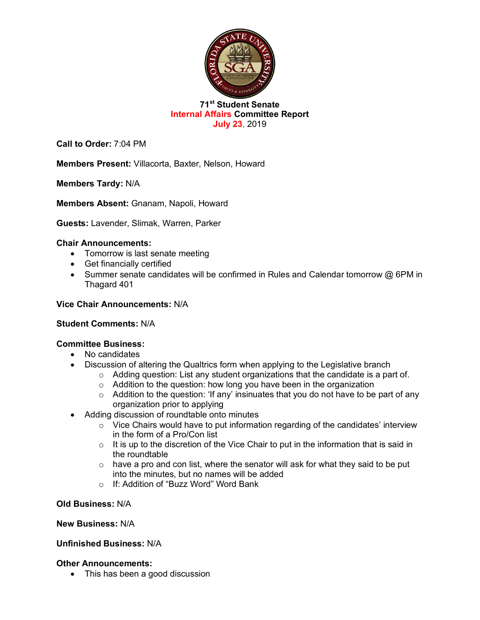

## **71st Student Senate Internal Affairs Committee Report July 23**, 2019

**Call to Order:** 7:04 PM

**Members Present:** Villacorta, Baxter, Nelson, Howard

**Members Tardy:** N/A

**Members Absent:** Gnanam, Napoli, Howard

**Guests:** Lavender, Slimak, Warren, Parker

## **Chair Announcements:**

- Tomorrow is last senate meeting
- Get financially certified
- Summer senate candidates will be confirmed in Rules and Calendar tomorrow @ 6PM in Thagard 401

### **Vice Chair Announcements:** N/A

#### **Student Comments:** N/A

#### **Committee Business:**

- No candidates
- Discussion of altering the Qualtrics form when applying to the Legislative branch
	- o Adding question: List any student organizations that the candidate is a part of.
	- $\circ$  Addition to the question: how long you have been in the organization
	- $\circ$  Addition to the question: 'If any' insinuates that you do not have to be part of any organization prior to applying
- Adding discussion of roundtable onto minutes
	- $\circ$  Vice Chairs would have to put information regarding of the candidates' interview in the form of a Pro/Con list
	- $\circ$  It is up to the discretion of the Vice Chair to put in the information that is said in the roundtable
	- $\circ$  have a pro and con list, where the senator will ask for what they said to be put into the minutes, but no names will be added
	- o If: Addition of "Buzz Word" Word Bank

**Old Business:** N/A

#### **New Business:** N/A

## **Unfinished Business:** N/A

#### **Other Announcements:**

• This has been a good discussion